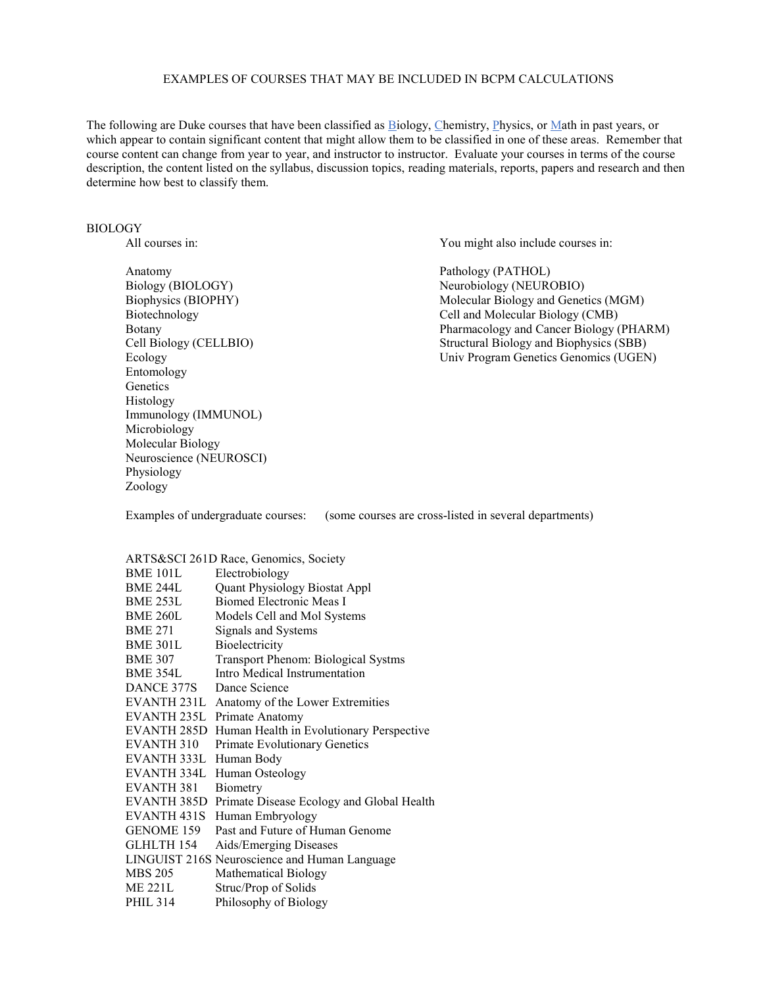## EXAMPLES OF COURSES THAT MAY BE INCLUDED IN BCPM CALCULATIONS

The following are Duke courses that have been classified as Biology, Chemistry, Physics, or Math in past years, or which appear to contain significant content that might allow them to be classified in one of these areas. Remember that course content can change from year to year, and instructor to instructor. Evaluate your courses in terms of the course description, the content listed on the syllabus, discussion topics, reading materials, reports, papers and research and then determine how best to classify them.

## BIOLOGY

Anatomy Pathology (PATHOL)<br>Biology (BIOLOGY) Neurobiology (NEURO Entomology Genetics Histology Immunology (IMMUNOL) Microbiology Molecular Biology Neuroscience (NEUROSCI) Physiology Zoology

All courses in:  $\frac{1}{2}$  You might also include courses in:

Neurobiology (NEUROBIO) Biophysics (BIOPHY) Molecular Biology and Genetics (MGM)<br>Biotechnology Cell and Molecular Biology (CMB) Biotechnology<br>Biotechnology Cell and Molecular Biology (CMB)<br>Botany Pharmacology and Cancer Biology ( Botany<br>
Cell Biology (CELLBIO)<br>
Cell Biology (CELLBIO)<br>
Structural Biology and Biophysics (SBB) Structural Biology and Biophysics (SBB) Ecology Univ Program Genetics Genomics (UGEN)

Examples of undergraduate courses: (some courses are cross-listed in several departments)

## ARTS&SCI 261D Race, Genomics, Society

| <b>BME 101L</b>        | Electrobiology                                |
|------------------------|-----------------------------------------------|
| <b>BME 244L</b>        | <b>Quant Physiology Biostat Appl</b>          |
| <b>BME 253L</b>        | Biomed Electronic Meas I                      |
| <b>BME 260L</b>        | Models Cell and Mol Systems                   |
| <b>BME 271</b>         | Signals and Systems                           |
| <b>BME 301L</b>        | Bioelectricity                                |
| <b>BME 307</b>         | Transport Phenom: Biological Systms           |
| <b>BME 354L</b>        | Intro Medical Instrumentation                 |
| DANCE 377S             | Dance Science                                 |
| EVANTH <sub>231L</sub> | Anatomy of the Lower Extremities              |
| EVANTH 235L            | Primate Anatomy                               |
| EVANTH 285D            | Human Health in Evolutionary Perspective      |
| EVANTH 310             | <b>Primate Evolutionary Genetics</b>          |
| EVANTH 333L            | Human Body                                    |
| EVANTH 334L            | Human Osteology                               |
| <b>EVANTH 381</b>      | Biometry                                      |
| <b>EVANTH 385D</b>     | Primate Disease Ecology and Global Health     |
| EVANTH <sub>431S</sub> | Human Embryology                              |
| GENOME 159             | Past and Future of Human Genome               |
| <b>GLHLTH 154</b>      | Aids/Emerging Diseases                        |
|                        | LINGUIST 216S Neuroscience and Human Language |
| <b>MBS 205</b>         | <b>Mathematical Biology</b>                   |
| <b>ME 221L</b>         | Struc/Prop of Solids                          |
| <b>PHIL 314</b>        | Philosophy of Biology                         |